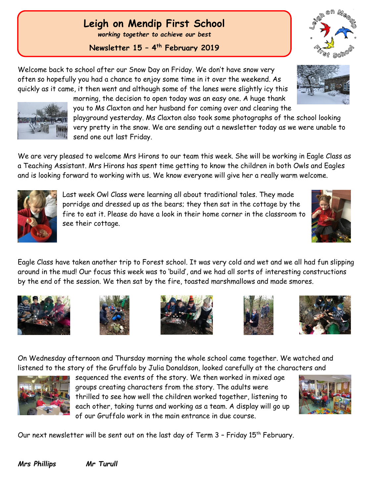## **Leigh on Mendip First School**

*working together to achieve our best*

**Newsletter 15 – 4 th February 2019**

Welcome back to school after our Snow Day on Friday. We don't have snow very often so hopefully you had a chance to enjoy some time in it over the weekend. As quickly as it came, it then went and although some of the lanes were slightly icy this

morning, the decision to open today was an easy one. A huge thank you to Ms Claxton and her husband for coming over and clearing the

playground yesterday. Ms Claxton also took some photographs of the school looking very pretty in the snow. We are sending out a newsletter today as we were unable to send one out last Friday.

We are very pleased to welcome Mrs Hirons to our team this week. She will be working in Eagle Class as a Teaching Assistant. Mrs Hirons has spent time getting to know the children in both Owls and Eagles and is looking forward to working with us. We know everyone will give her a really warm welcome.

> Last week Owl Class were learning all about traditional tales. They made porridge and dressed up as the bears; they then sat in the cottage by the fire to eat it. Please do have a look in their home corner in the classroom to see their cottage.

Eagle Class have taken another trip to Forest school. It was very cold and wet and we all had fun slipping around in the mud! Our focus this week was to 'build', and we had all sorts of interesting constructions by the end of the session. We then sat by the fire, toasted marshmallows and made smores.

On Wednesday afternoon and Thursday morning the whole school came together. We watched and

Our next newsletter will be sent out on the last day of Term 3 - Friday 15<sup>th</sup> February.

*Mrs Phillips Mr Turull*









sequenced the events of the story. We then worked in mixed age

thrilled to see how well the children worked together, listening to each other, taking turns and working as a team. A display will go up

groups creating characters from the story. The adults were

of our Gruffalo work in the main entrance in due course.